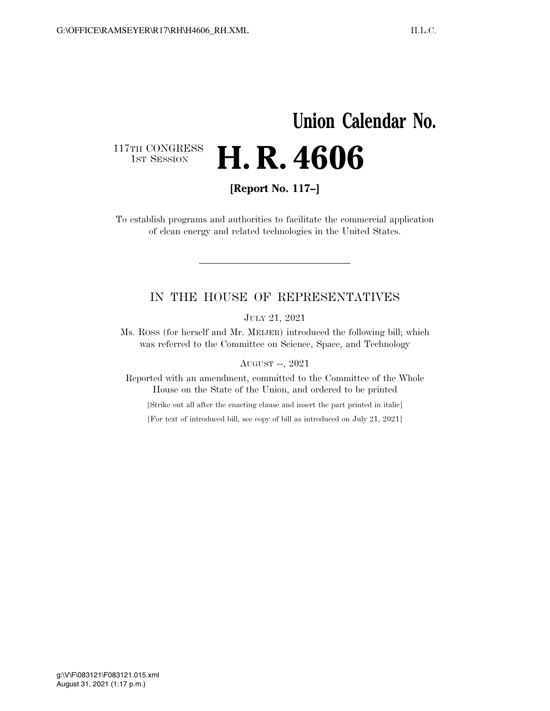# **Union Calendar No.**  117TH CONGRESS<br>1st Session 1ST SESSION **H. R. 4606**

**[Report No. 117–]** 

To establish programs and authorities to facilitate the commercial application of clean energy and related technologies in the United States.

### IN THE HOUSE OF REPRESENTATIVES

JULY 21, 2021

Ms. ROSS (for herself and Mr. MEIJER) introduced the following bill; which was referred to the Committee on Science, Space, and Technology

AUGUST --, 2021

Reported with an amendment, committed to the Committee of the Whole House on the State of the Union, and ordered to be printed

[Strike out all after the enacting clause and insert the part printed in italic]

[For text of introduced bill, see copy of bill as introduced on July 21, 2021]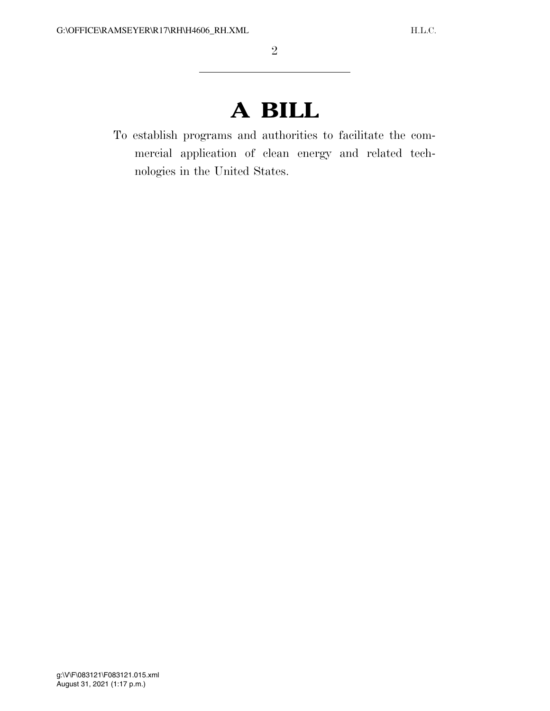# **A BILL**

To establish programs and authorities to facilitate the commercial application of clean energy and related technologies in the United States.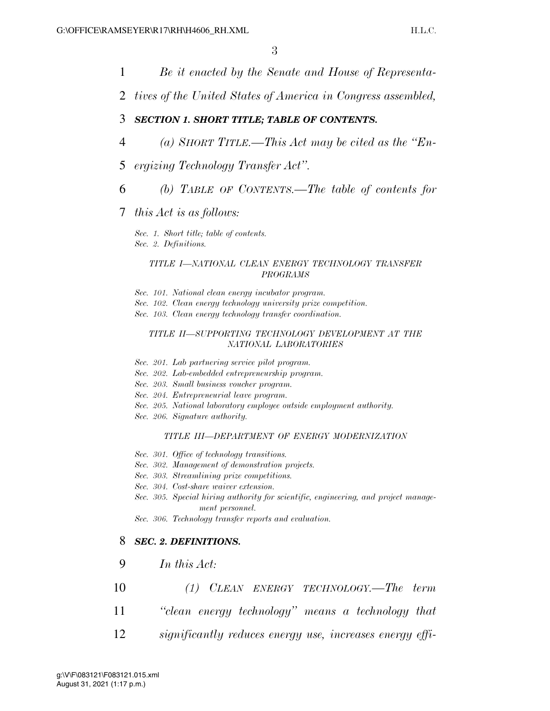- 1 *Be it enacted by the Senate and House of Representa-*
- 2 *tives of the United States of America in Congress assembled,*

### 3 *SECTION 1. SHORT TITLE; TABLE OF CONTENTS.*

- 4 *(a) SHORT TITLE.—This Act may be cited as the ''En-*
- 5 *ergizing Technology Transfer Act''.*
- 6 *(b) TABLE OF CONTENTS.—The table of contents for*
- 7 *this Act is as follows:*

*Sec. 1. Short title; table of contents. Sec. 2. Definitions.* 

#### *TITLE I—NATIONAL CLEAN ENERGY TECHNOLOGY TRANSFER PROGRAMS*

- *Sec. 101. National clean energy incubator program.*
- *Sec. 102. Clean energy technology university prize competition.*
- *Sec. 103. Clean energy technology transfer coordination.*

#### *TITLE II—SUPPORTING TECHNOLOGY DEVELOPMENT AT THE NATIONAL LABORATORIES*

- *Sec. 201. Lab partnering service pilot program.*
- *Sec. 202. Lab-embedded entrepreneurship program.*
- *Sec. 203. Small business voucher program.*
- *Sec. 204. Entrepreneurial leave program.*
- *Sec. 205. National laboratory employee outside employment authority.*
- *Sec. 206. Signature authority.*

#### *TITLE III—DEPARTMENT OF ENERGY MODERNIZATION*

- *Sec. 301. Office of technology transitions.*
- *Sec. 302. Management of demonstration projects.*
- *Sec. 303. Streamlining prize competitions.*
- *Sec. 304. Cost-share waiver extension.*
- *Sec. 305. Special hiring authority for scientific, engineering, and project management personnel.*
- *Sec. 306. Technology transfer reports and evaluation.*

### 8 *SEC. 2. DEFINITIONS.*

- 9 *In this Act:*
- 10 *(1) CLEAN ENERGY TECHNOLOGY.—The term*
- 11 *''clean energy technology'' means a technology that*
- 12 *significantly reduces energy use, increases energy effi-*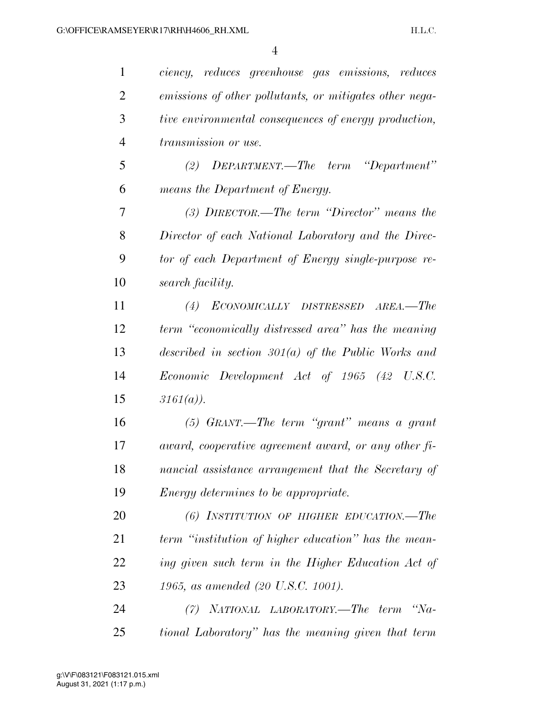| $\mathbf{1}$   | ciency, reduces greenhouse gas emissions, reduces       |
|----------------|---------------------------------------------------------|
| $\overline{2}$ | emissions of other pollutants, or mitigates other nega- |
| 3              | tive environmental consequences of energy production,   |
| 4              | <i>transmission or use.</i>                             |
| 5              | (2) $DEPARTMENT.$ The term "Department"                 |
| 6              | means the Department of Energy.                         |
| 7              | $(3)$ DIRECTOR.—The term "Director" means the           |
| 8              | Director of each National Laboratory and the Direc-     |
| 9              | tor of each Department of Energy single-purpose re-     |
| 10             | search facility.                                        |
| 11             | ECONOMICALLY DISTRESSED AREA.-The<br>(4)                |
| 12             | term "economically distressed area" has the meaning     |
| 13             | described in section $301(a)$ of the Public Works and   |
| 14             | Economic Development Act of 1965 (42 U.S.C.             |
| 15             | $3161(a)$ ).                                            |
| 16             | $(5)$ GRANT.—The term "grant" means a grant             |
| 17             | award, cooperative agreement award, or any other fi-    |
| 18             | nancial assistance arrangement that the Secretary of    |
| 19             | <i>Energy determines to be appropriate.</i>             |
| 20             | (6) INSTITUTION OF HIGHER EDUCATION.—The                |
| 21             | term "institution of higher education" has the mean-    |
| 22             | ing given such term in the Higher Education Act of      |
| 23             | 1965, as amended (20 U.S.C. 1001).                      |
| 24             | NATIONAL LABORATORY.—The term "Na-<br>(7)               |
| 25             | tional Laboratory" has the meaning given that term      |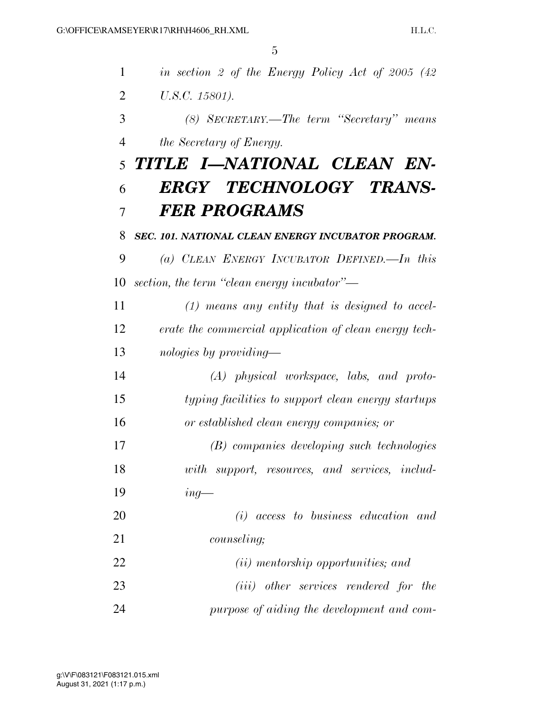| 1              | in section 2 of the Energy Policy Act of 2005 $(42)$   |
|----------------|--------------------------------------------------------|
| $\overline{2}$ | U.S.C. 15801).                                         |
| 3              | (8) SECRETARY.—The term "Secretary" means              |
| $\overline{4}$ | the Secretary of Energy.                               |
| 5              | TITLE I—NATIONAL CLEAN EN-                             |
| 6              | ERGY TECHNOLOGY TRANS-                                 |
| 7              | <b>FER PROGRAMS</b>                                    |
| 8              | SEC. 101. NATIONAL CLEAN ENERGY INCUBATOR PROGRAM.     |
| 9              | (a) CLEAN ENERGY INCUBATOR DEFINED.—In this            |
| 10             | section, the term "clean energy incubator"—            |
| 11             | $(1)$ means any entity that is designed to accel-      |
| 12             | erate the commercial application of clean energy tech- |
| 13             | nologies by providing—                                 |
| 14             | $(A)$ physical workspace, labs, and proto-             |
| 15             | typing facilities to support clean energy startups     |
| 16             | or established clean energy companies; or              |
| 17             | (B) companies developing such technologies             |
| 18             | with support, resources, and services, includ-         |
| 19             | $ing-$                                                 |
| 20             | $(i)$ access to business education and                 |
| 21             | <i>counseling</i> ;                                    |
| 22             | <i>(ii)</i> mentorship opportunities; and              |
| 23             | ( <i>iii</i> ) other services rendered for the         |
| 24             | purpose of aiding the development and com-             |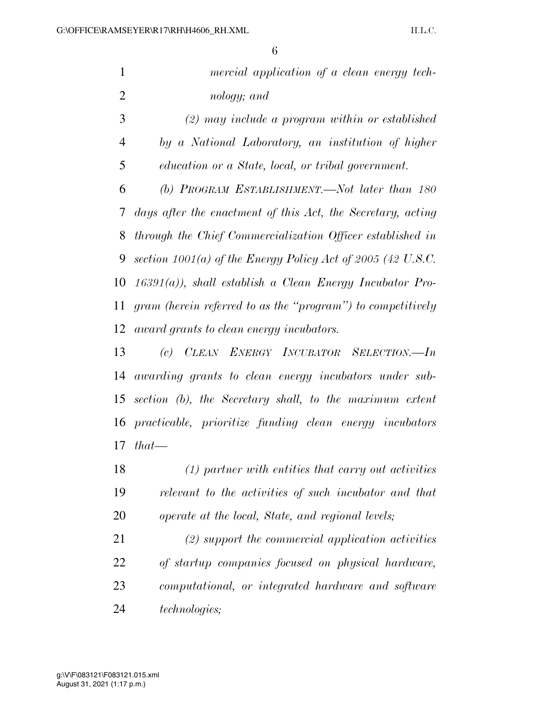|                | 6                                                             |
|----------------|---------------------------------------------------------------|
| $\mathbf{1}$   | mercial application of a clean energy tech-                   |
| $\overline{2}$ | nology; and                                                   |
| 3              | $(2)$ may include a program within or established             |
| 4              | by a National Laboratory, an institution of higher            |
| 5              | education or a State, local, or tribal government.            |
| 6              | (b) PROGRAM ESTABLISHMENT.—Not later than 180                 |
| 7              | days after the enactment of this Act, the Secretary, acting   |
| 8              | through the Chief Commercialization Officer established in    |
| 9              | section $1001(a)$ of the Energy Policy Act of 2005 (42 U.S.C. |
| 10             | $16391(a)$ , shall establish a Clean Energy Incubator Pro-    |
| 11             | gram (herein referred to as the "program") to competitively   |
| 12             | award grants to clean energy incubators.                      |
| 13             | (c) CLEAN ENERGY INCUBATOR SELECTION.-In                      |
| 14             | awarding grants to clean energy incubators under sub-         |
| 15             | section (b), the Secretary shall, to the maximum extent       |
| 16             | practicable, prioritize funding clean energy incubators       |
| 17             | $that$ —                                                      |
| 18             | $(1)$ partner with entities that carry out activities         |

 *relevant to the activities of such incubator and that operate at the local, State, and regional levels;* 

 *(2) support the commercial application activities of startup companies focused on physical hardware, computational, or integrated hardware and software technologies;*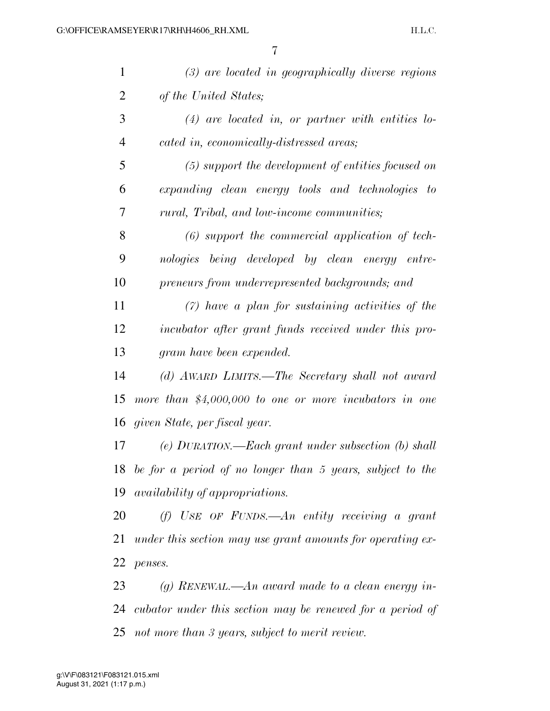| $\mathbf{1}$   | $(3)$ are located in geographically diverse regions          |
|----------------|--------------------------------------------------------------|
| $\overline{2}$ | of the United States;                                        |
| 3              | $(4)$ are located in, or partner with entities lo-           |
| 4              | cated in, economically-distressed areas;                     |
| 5              | $(5)$ support the development of entities focused on         |
| 6              | expanding clean energy tools and technologies to             |
| 7              | rural, Tribal, and low-income communities;                   |
| 8              | $(6)$ support the commercial application of tech-            |
| 9              | being developed by clean energy entre-<br>nologies           |
| 10             | preneurs from underrepresented backgrounds; and              |
| 11             | $(7)$ have a plan for sustaining activities of the           |
| 12             | incubator after grant funds received under this pro-         |
| 13             | gram have been expended.                                     |
| 14             | (d) AWARD LIMITS.—The Secretary shall not award              |
| 15             | more than $$4,000,000$ to one or more incubators in one      |
| 16             | given State, per fiscal year.                                |
| 17             | $(e)$ DURATION.—Each grant under subsection $(b)$ shall      |
|                | 18 be for a period of no longer than 5 years, subject to the |
| 19             | <i>availability of appropriations.</i>                       |
| 20             | (f) USE OF FUNDS.—An entity receiving a grant                |
| 21             | under this section may use grant amounts for operating ex-   |
| 22             | penses.                                                      |
| 23             | (g) RENEWAL.—An award made to a clean energy in-             |
|                | 24 cubator under this section may be renewed for a period of |

*not more than 3 years, subject to merit review.*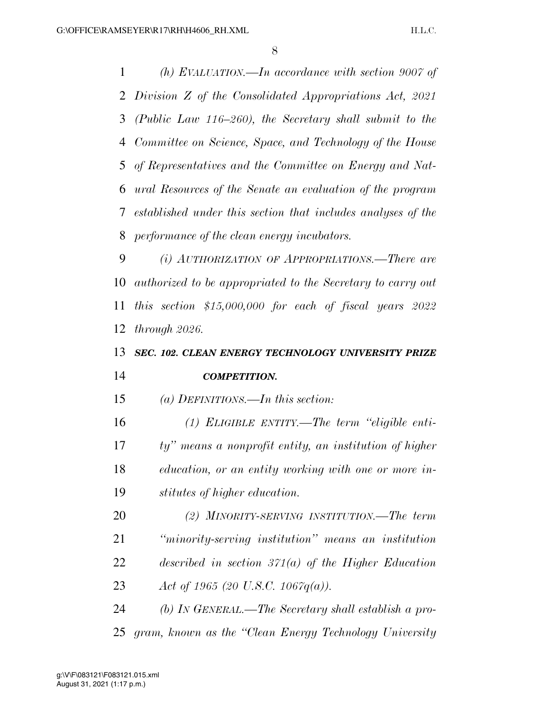*(h) EVALUATION.—In accordance with section 9007 of Division Z of the Consolidated Appropriations Act, 2021 (Public Law 116–260), the Secretary shall submit to the Committee on Science, Space, and Technology of the House of Representatives and the Committee on Energy and Nat- ural Resources of the Senate an evaluation of the program established under this section that includes analyses of the performance of the clean energy incubators.* 

 *(i) AUTHORIZATION OF APPROPRIATIONS.—There are authorized to be appropriated to the Secretary to carry out this section \$15,000,000 for each of fiscal years 2022 through 2026.* 

### *SEC. 102. CLEAN ENERGY TECHNOLOGY UNIVERSITY PRIZE COMPETITION.*

*(a) DEFINITIONS.—In this section:* 

 *(1) ELIGIBLE ENTITY.—The term ''eligible enti- ty'' means a nonprofit entity, an institution of higher education, or an entity working with one or more in-stitutes of higher education.* 

 *(2) MINORITY-SERVING INSTITUTION.—The term ''minority-serving institution'' means an institution described in section 371(a) of the Higher Education Act of 1965 (20 U.S.C. 1067q(a)).* 

 *(b) IN GENERAL.—The Secretary shall establish a pro-gram, known as the ''Clean Energy Technology University*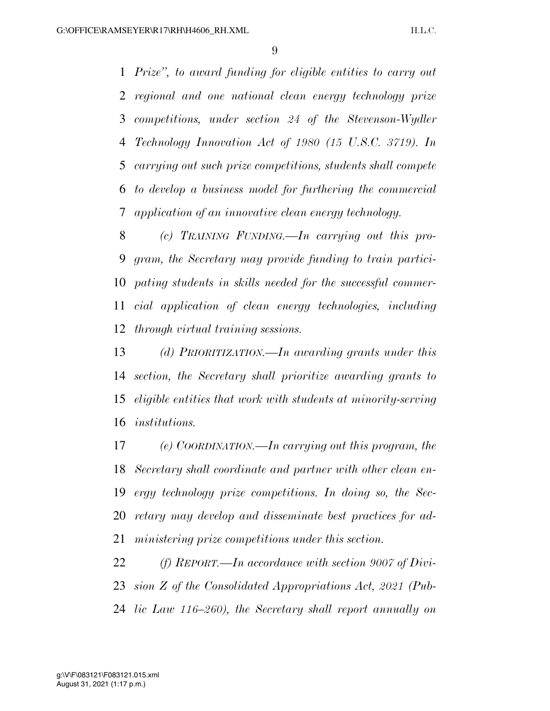*Prize'', to award funding for eligible entities to carry out regional and one national clean energy technology prize competitions, under section 24 of the Stevenson-Wydler Technology Innovation Act of 1980 (15 U.S.C. 3719). In carrying out such prize competitions, students shall compete to develop a business model for furthering the commercial application of an innovative clean energy technology.* 

 *(c) TRAINING FUNDING.—In carrying out this pro- gram, the Secretary may provide funding to train partici- pating students in skills needed for the successful commer- cial application of clean energy technologies, including through virtual training sessions.* 

 *(d) PRIORITIZATION.—In awarding grants under this section, the Secretary shall prioritize awarding grants to eligible entities that work with students at minority-serving institutions.* 

 *(e) COORDINATION.—In carrying out this program, the Secretary shall coordinate and partner with other clean en- ergy technology prize competitions. In doing so, the Sec- retary may develop and disseminate best practices for ad-ministering prize competitions under this section.* 

 *(f) REPORT.—In accordance with section 9007 of Divi- sion Z of the Consolidated Appropriations Act, 2021 (Pub-lic Law 116–260), the Secretary shall report annually on*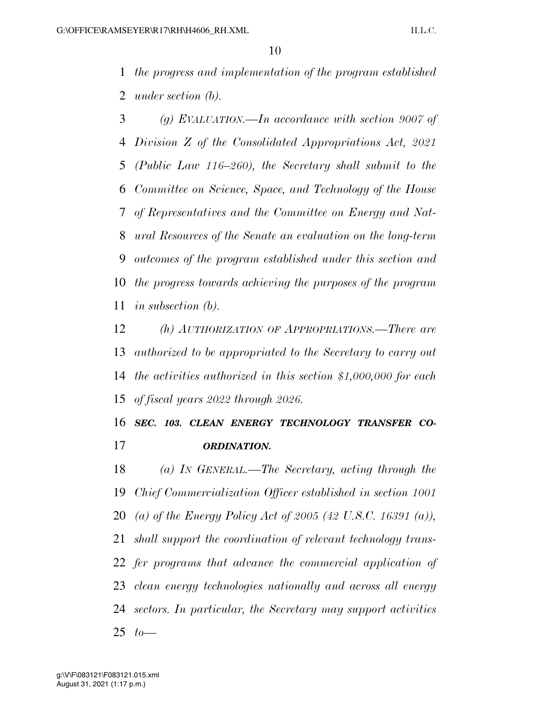*the progress and implementation of the program established under section (b).* 

 *(g) EVALUATION.—In accordance with section 9007 of Division Z of the Consolidated Appropriations Act, 2021 (Public Law 116–260), the Secretary shall submit to the Committee on Science, Space, and Technology of the House of Representatives and the Committee on Energy and Nat- ural Resources of the Senate an evaluation on the long-term outcomes of the program established under this section and the progress towards achieving the purposes of the program in subsection (b).* 

 *(h) AUTHORIZATION OF APPROPRIATIONS.—There are authorized to be appropriated to the Secretary to carry out the activities authorized in this section \$1,000,000 for each of fiscal years 2022 through 2026.* 

 *SEC. 103. CLEAN ENERGY TECHNOLOGY TRANSFER CO-ORDINATION.* 

 *(a) IN GENERAL.—The Secretary, acting through the Chief Commercialization Officer established in section 1001 (a) of the Energy Policy Act of 2005 (42 U.S.C. 16391 (a)), shall support the coordination of relevant technology trans- fer programs that advance the commercial application of clean energy technologies nationally and across all energy sectors. In particular, the Secretary may support activities to—*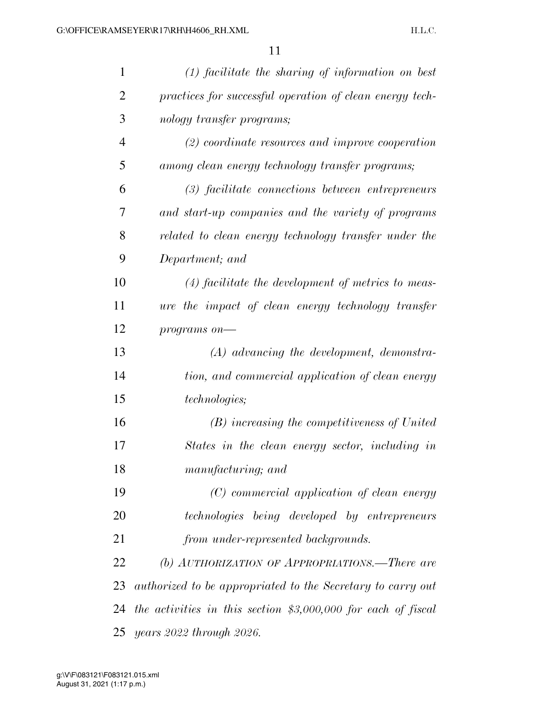| $\mathbf{1}$ | $(1)$ facilitate the sharing of information on best            |
|--------------|----------------------------------------------------------------|
| 2            | practices for successful operation of clean energy tech-       |
| 3            | nology transfer programs;                                      |
| 4            | $(2)$ coordinate resources and improve cooperation             |
| 5            | among clean energy technology transfer programs;               |
| 6            | (3) facilitate connections between entrepreneurs               |
| 7            | and start-up companies and the variety of programs             |
| 8            | related to clean energy technology transfer under the          |
| 9            | Department; and                                                |
| 10           | $(4)$ facilitate the development of metrics to meas-           |
| 11           | ure the impact of clean energy technology transfer             |
| 12           | $programs$ on-                                                 |
| 13           | $(A)$ advancing the development, demonstra-                    |
| 14           | tion, and commercial application of clean energy               |
| 15           | <i>technologies</i> ;                                          |
| 16           | (B) increasing the competitiveness of United                   |
| 17           | States in the clean energy sector, including in                |
| 18           | manufacturing; and                                             |
| 19           | (C) commercial application of clean energy                     |
| 20           | technologies being developed by entrepreneurs                  |
| 21           | from under-represented backgrounds.                            |
| 22           | (b) AUTHORIZATION OF APPROPRIATIONS.—There are                 |
| 23           | authorized to be appropriated to the Secretary to carry out    |
| 24           | the activities in this section $$3,000,000$ for each of fiscal |
| 25           | years 2022 through 2026.                                       |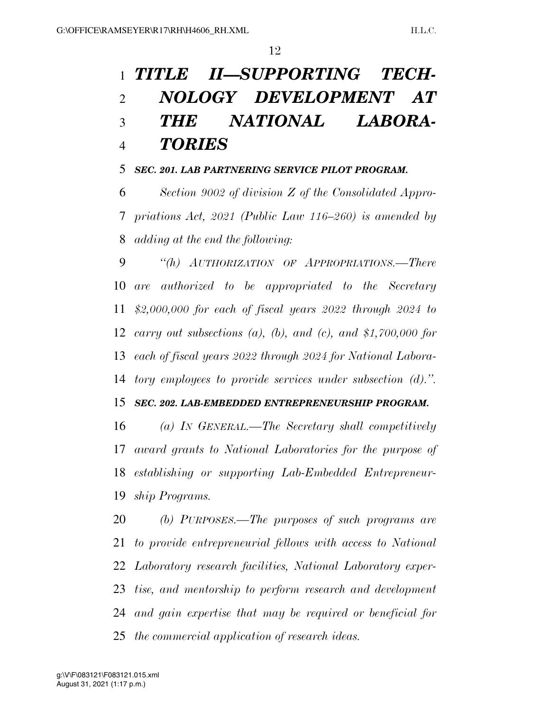# *TITLE II—SUPPORTING TECH- NOLOGY DEVELOPMENT AT THE NATIONAL LABORA-TORIES*

### *SEC. 201. LAB PARTNERING SERVICE PILOT PROGRAM.*

 *Section 9002 of division Z of the Consolidated Appro- priations Act, 2021 (Public Law 116–260) is amended by adding at the end the following:* 

 *''(h) AUTHORIZATION OF APPROPRIATIONS.—There are authorized to be appropriated to the Secretary \$2,000,000 for each of fiscal years 2022 through 2024 to carry out subsections (a), (b), and (c), and \$1,700,000 for each of fiscal years 2022 through 2024 for National Labora-tory employees to provide services under subsection (d).''.* 

### *SEC. 202. LAB-EMBEDDED ENTREPRENEURSHIP PROGRAM.*

 *(a) IN GENERAL.—The Secretary shall competitively award grants to National Laboratories for the purpose of establishing or supporting Lab-Embedded Entrepreneur-ship Programs.* 

 *(b) PURPOSES.—The purposes of such programs are to provide entrepreneurial fellows with access to National Laboratory research facilities, National Laboratory exper- tise, and mentorship to perform research and development and gain expertise that may be required or beneficial for the commercial application of research ideas.*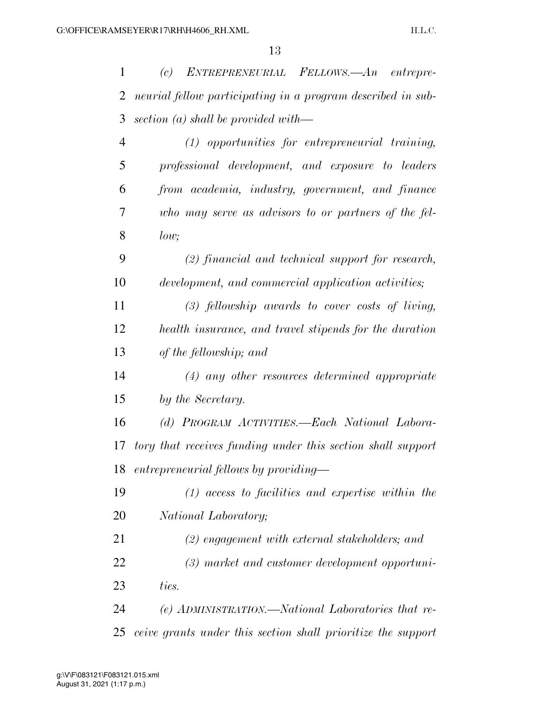| 1              | ENTREPRENEURIAL FELLOWS.—An<br>(c)<br>entrepre-              |
|----------------|--------------------------------------------------------------|
| 2              | neurial fellow participating in a program described in sub-  |
| 3              | section $(a)$ shall be provided with—                        |
| $\overline{4}$ | $(1)$ opportunities for entrepreneurial training,            |
| 5              | professional development, and exposure to leaders            |
| 6              | from academia, industry, government, and finance             |
| 7              | who may serve as advisors to or partners of the fel-         |
| 8              | low;                                                         |
| 9              | $(2)$ financial and technical support for research,          |
| 10             | development, and commercial application activities;          |
| 11             | $(3)$ fellowship awards to cover costs of living,            |
| 12             | health insurance, and travel stipends for the duration       |
| 13             | of the fellowship; and                                       |
| 14             | $(4)$ any other resources determined appropriate             |
| 15             | by the Secretary.                                            |
| 16             | (d) PROGRAM ACTIVITIES.—Each National Labora-                |
| 17             | tory that receives funding under this section shall support  |
|                | 18 entrepreneurial fellows by providing-                     |
| 19             | $(1)$ access to facilities and expertise within the          |
| 20             | National Laboratory;                                         |
| 21             | $(2)$ engagement with external stakeholders; and             |
| 22             | (3) market and customer development opportuni-               |
| 23             | ties.                                                        |
| 24             | (e) ADMINISTRATION.—National Laboratories that re-           |
| 25             | ceive grants under this section shall prioritize the support |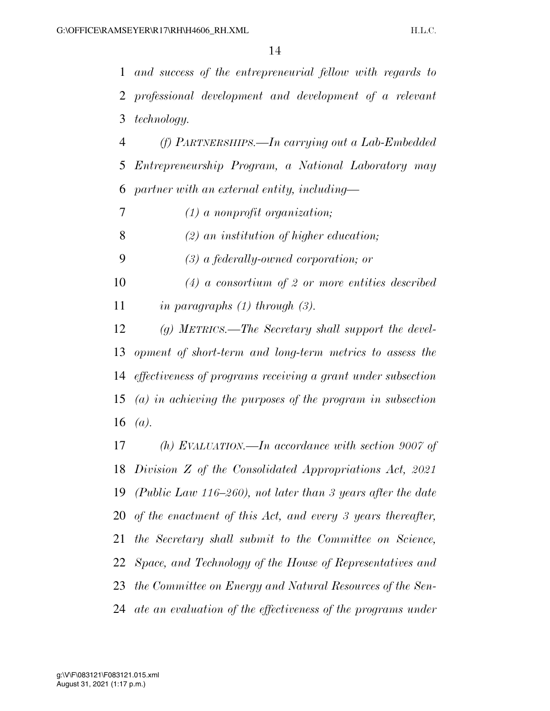*and success of the entrepreneurial fellow with regards to professional development and development of a relevant technology.* 

 *(f) PARTNERSHIPS.—In carrying out a Lab-Embedded Entrepreneurship Program, a National Laboratory may partner with an external entity, including—* 

*(1) a nonprofit organization;* 

*(2) an institution of higher education;* 

*(3) a federally-owned corporation; or* 

 *(4) a consortium of 2 or more entities described in paragraphs (1) through (3).* 

 *(g) METRICS.—The Secretary shall support the devel- opment of short-term and long-term metrics to assess the effectiveness of programs receiving a grant under subsection (a) in achieving the purposes of the program in subsection (a).* 

 *(h) EVALUATION.—In accordance with section 9007 of Division Z of the Consolidated Appropriations Act, 2021 (Public Law 116–260), not later than 3 years after the date of the enactment of this Act, and every 3 years thereafter, the Secretary shall submit to the Committee on Science, Space, and Technology of the House of Representatives and the Committee on Energy and Natural Resources of the Sen-ate an evaluation of the effectiveness of the programs under*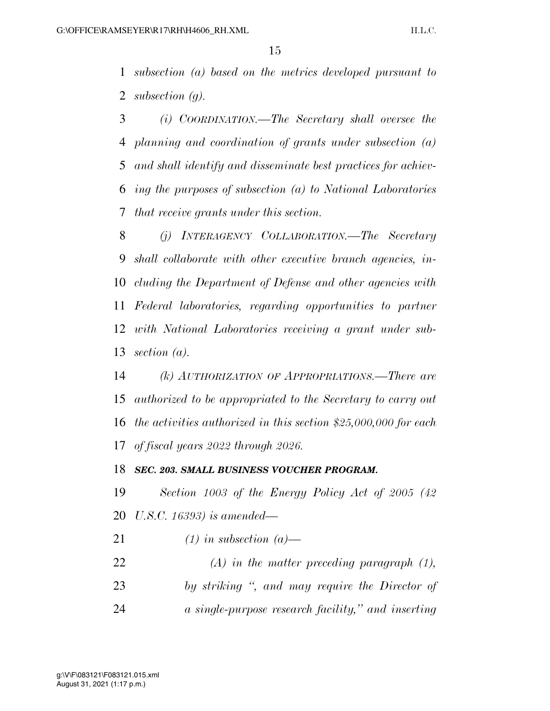*subsection (a) based on the metrics developed pursuant to subsection (g).* 

 *(i) COORDINATION.—The Secretary shall oversee the planning and coordination of grants under subsection (a) and shall identify and disseminate best practices for achiev- ing the purposes of subsection (a) to National Laboratories that receive grants under this section.* 

 *(j) INTERAGENCY COLLABORATION.—The Secretary shall collaborate with other executive branch agencies, in- cluding the Department of Defense and other agencies with Federal laboratories, regarding opportunities to partner with National Laboratories receiving a grant under sub-section (a).* 

 *(k) AUTHORIZATION OF APPROPRIATIONS.—There are authorized to be appropriated to the Secretary to carry out the activities authorized in this section \$25,000,000 for each of fiscal years 2022 through 2026.* 

### *SEC. 203. SMALL BUSINESS VOUCHER PROGRAM.*

 *Section 1003 of the Energy Policy Act of 2005 (42 U.S.C. 16393) is amended—* 

*(1) in subsection (a)—* 

 *(A) in the matter preceding paragraph (1), by striking '', and may require the Director of a single-purpose research facility,'' and inserting*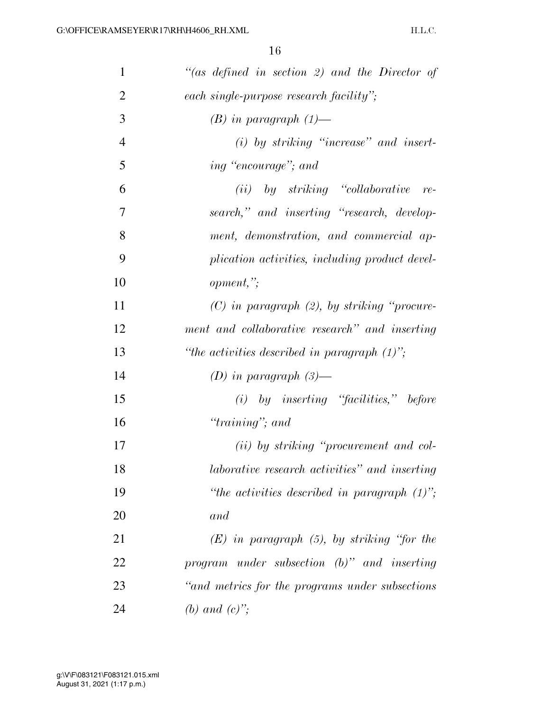| $\mathbf{1}$   | "(as defined in section 2) and the Director of   |
|----------------|--------------------------------------------------|
| $\overline{2}$ | each single-purpose research facility";          |
| 3              | $(B)$ in paragraph $(1)$ —                       |
| $\overline{4}$ | $(i)$ by striking "increase" and insert-         |
| 5              | ing "encourage"; and                             |
| 6              | $(ii)$ by striking "collaborative re-            |
| 7              | search," and inserting "research, develop-       |
| 8              | ment, demonstration, and commercial ap-          |
| 9              | plication activities, including product devel-   |
| 10             | opment, "                                        |
| 11             | $(C)$ in paragraph $(2)$ , by striking "procure- |
| 12             | ment and collaborative research" and inserting   |
| 13             | "the activities described in paragraph $(1)$ ";  |
| 14             | (D) in paragraph $(3)$ —                         |
| 15             | $(i)$ by inserting "facilities," before          |
| 16             | " $training$ "; and                              |
| 17             | (ii) by striking "procurement and col-           |
| 18             | laborative research activities" and inserting    |
| 19             | "the activities described in paragraph $(1)$ ";  |
| 20             | and                                              |
| 21             | $(E)$ in paragraph $(5)$ , by striking "for the  |
| 22             | program under subsection $(b)$ " and inserting   |
| 23             | "and metrics for the programs under subsections" |
| 24             |                                                  |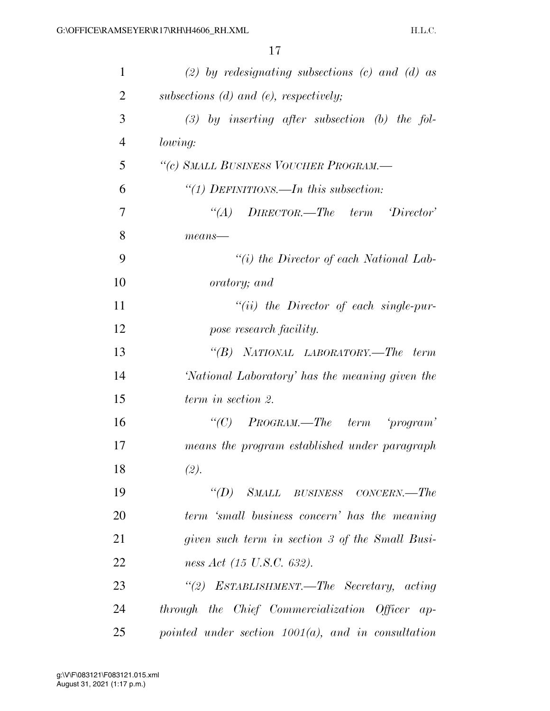| $\mathbf{1}$   | (2) by redesignating subsections (c) and (d) as       |
|----------------|-------------------------------------------------------|
| $\overline{2}$ | subsections $(d)$ and $(e)$ , respectively;           |
| 3              | $(3)$ by inserting after subsection (b) the fol-      |
| 4              | <i>lowing:</i>                                        |
| 5              | "(c) SMALL BUSINESS VOUCHER PROGRAM.-                 |
| 6              | "(1) DEFINITIONS.—In this subsection:                 |
| 7              | $\lq\lq (A)$ DIRECTOR.—The term Director'             |
| 8              | $means$ —                                             |
| 9              | "(i) the Director of each National Lab-               |
| 10             | oratory; and                                          |
| 11             | $``(ii)$ the Director of each single-pur-             |
| 12             | pose research facility.                               |
| 13             | "(B) NATIONAL LABORATORY.—The term                    |
| 14             | 'National Laboratory' has the meaning given the       |
| 15             | term in section 2.                                    |
| 16             | "(C) $PROGRAM$ .—The term 'program'                   |
| 17             | means the program established under paragraph         |
| 18             | (2).                                                  |
| 19             | "(D) SMALL BUSINESS CONCERN.—The                      |
| 20             | term 'small business concern' has the meaning         |
| 21             | given such term in section 3 of the Small Busi-       |
| 22             | ness Act (15 U.S.C. 632).                             |
| 23             | "(2) ESTABLISHMENT.—The Secretary, acting             |
| 24             | through the Chief Commercialization Officer ap-       |
| 25             | pointed under section $1001(a)$ , and in consultation |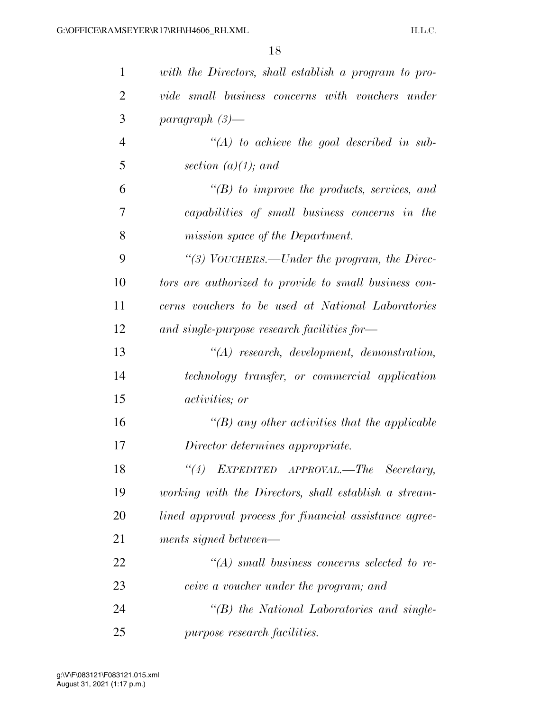| 1              | with the Directors, shall establish a program to pro-  |
|----------------|--------------------------------------------------------|
| $\overline{2}$ | vide small business concerns with vouchers under       |
| 3              | paragraph $(3)$ —                                      |
| $\overline{4}$ | $\lq (A)$ to achieve the goal described in sub-        |
| 5              | section $(a)(1)$ ; and                                 |
| 6              | $\lq (B)$ to improve the products, services, and       |
| 7              | capabilities of small business concerns in the         |
| 8              | mission space of the Department.                       |
| 9              | "(3) VOUCHERS.—Under the program, the Direc-           |
| 10             | tors are authorized to provide to small business con-  |
| 11             | cerns vouchers to be used at National Laboratories     |
| 12             | and single-purpose research facilities for-            |
| 13             | $\lq (A)$ research, development, demonstration,        |
| 14             | technology transfer, or commercial application         |
| 15             | <i>activities</i> ; <i>or</i>                          |
| 16             | $\lq (B)$ any other activities that the applicable     |
| 17             | Director determines appropriate.                       |
| 18             | (4)<br>EXPEDITED APPROVAL.—The Secretary,              |
| 19             | working with the Directors, shall establish a stream-  |
| 20             | lined approval process for financial assistance agree- |
| 21             | ments signed between—                                  |
| 22             | $\lq (A)$ small business concerns selected to re-      |
| 23             | ceive a voucher under the program; and                 |
| 24             | $\lq\lq B$ the National Laboratories and single-       |
| 25             | purpose research facilities.                           |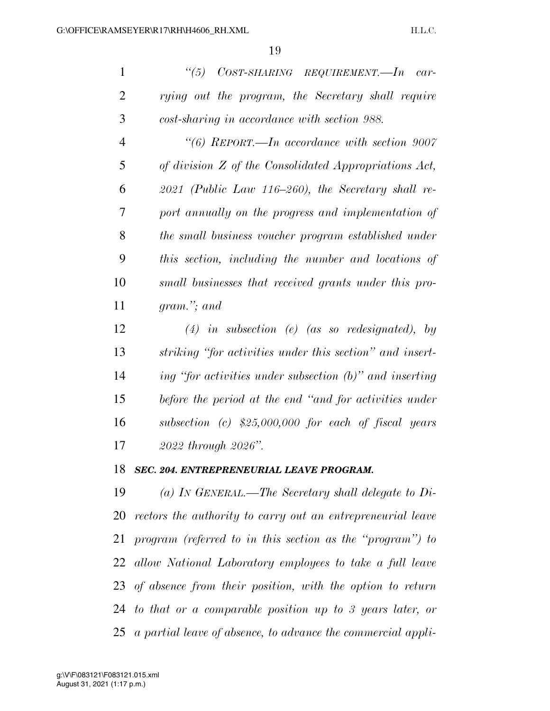| $\mathbf{1}$   | $\frac{1}{15}$<br>$COST-SHARNING$ $REQUIREMENT. - In$ $car-$ |
|----------------|--------------------------------------------------------------|
| $\overline{2}$ | rying out the program, the Secretary shall require           |
| 3              | cost-sharing in accordance with section 988.                 |
| 4              | $\lq(6)$ REPORT.—In accordance with section 9007             |
| 5              | of division Z of the Consolidated Appropriations Act,        |
| 6              | $2021$ (Public Law 116–260), the Secretary shall re-         |
| 7              | port annually on the progress and implementation of          |
| 8              | the small business voucher program established under         |
| 9              | this section, including the number and locations of          |
| 10             | small businesses that received grants under this pro-        |
| 11             | $gram$ , $and$                                               |
| 12             | $(4)$ in subsection (e) (as so redesignated), by             |
| 13             | striking "for activities under this section" and insert-     |
| 14             | ing "for activities under subsection $(b)$ " and inserting   |
| 15             | before the period at the end "and for activities under       |
| 16             | subsection (c) $$25,000,000$ for each of fiscal years        |

*2022 through 2026''.* 

### *SEC. 204. ENTREPRENEURIAL LEAVE PROGRAM.*

 *(a) IN GENERAL.—The Secretary shall delegate to Di- rectors the authority to carry out an entrepreneurial leave program (referred to in this section as the ''program'') to allow National Laboratory employees to take a full leave of absence from their position, with the option to return to that or a comparable position up to 3 years later, or a partial leave of absence, to advance the commercial appli-*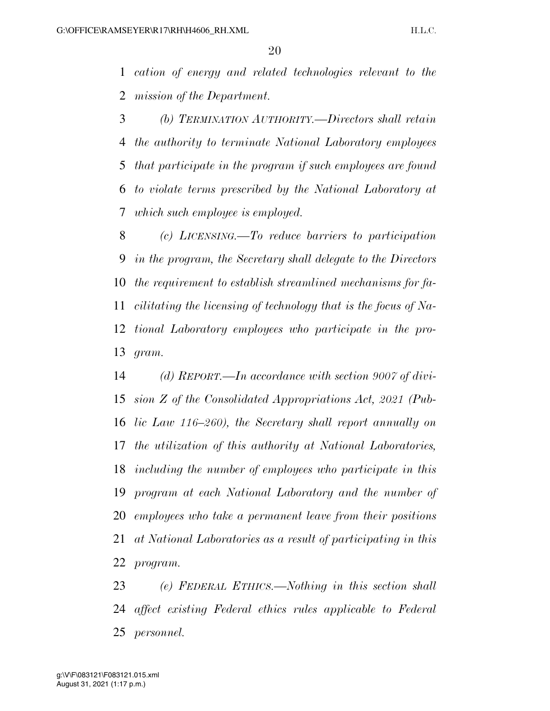*cation of energy and related technologies relevant to the mission of the Department.* 

 *(b) TERMINATION AUTHORITY.—Directors shall retain the authority to terminate National Laboratory employees that participate in the program if such employees are found to violate terms prescribed by the National Laboratory at which such employee is employed.* 

 *(c) LICENSING.—To reduce barriers to participation in the program, the Secretary shall delegate to the Directors the requirement to establish streamlined mechanisms for fa- cilitating the licensing of technology that is the focus of Na- tional Laboratory employees who participate in the pro-gram.* 

 *(d) REPORT.—In accordance with section 9007 of divi- sion Z of the Consolidated Appropriations Act, 2021 (Pub- lic Law 116–260), the Secretary shall report annually on the utilization of this authority at National Laboratories, including the number of employees who participate in this program at each National Laboratory and the number of employees who take a permanent leave from their positions at National Laboratories as a result of participating in this program.* 

 *(e) FEDERAL ETHICS.—Nothing in this section shall affect existing Federal ethics rules applicable to Federal personnel.*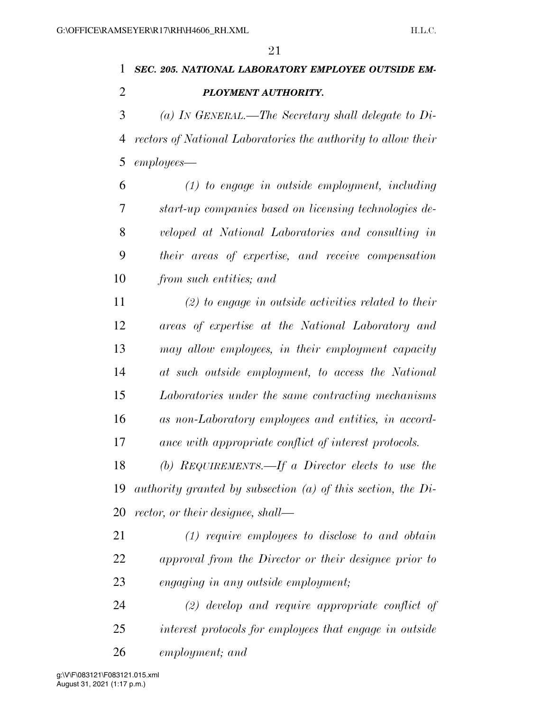## *SEC. 205. NATIONAL LABORATORY EMPLOYEE OUTSIDE EM-PLOYMENT AUTHORITY.*

 *(a) IN GENERAL.—The Secretary shall delegate to Di- rectors of National Laboratories the authority to allow their employees—* 

 *(1) to engage in outside employment, including start-up companies based on licensing technologies de- veloped at National Laboratories and consulting in their areas of expertise, and receive compensation from such entities; and* 

 *(2) to engage in outside activities related to their areas of expertise at the National Laboratory and may allow employees, in their employment capacity at such outside employment, to access the National Laboratories under the same contracting mechanisms as non-Laboratory employees and entities, in accord-ance with appropriate conflict of interest protocols.* 

 *(b) REQUIREMENTS.—If a Director elects to use the authority granted by subsection (a) of this section, the Di-rector, or their designee, shall—* 

- *(1) require employees to disclose to and obtain approval from the Director or their designee prior to engaging in any outside employment;*
- *(2) develop and require appropriate conflict of interest protocols for employees that engage in outside employment; and*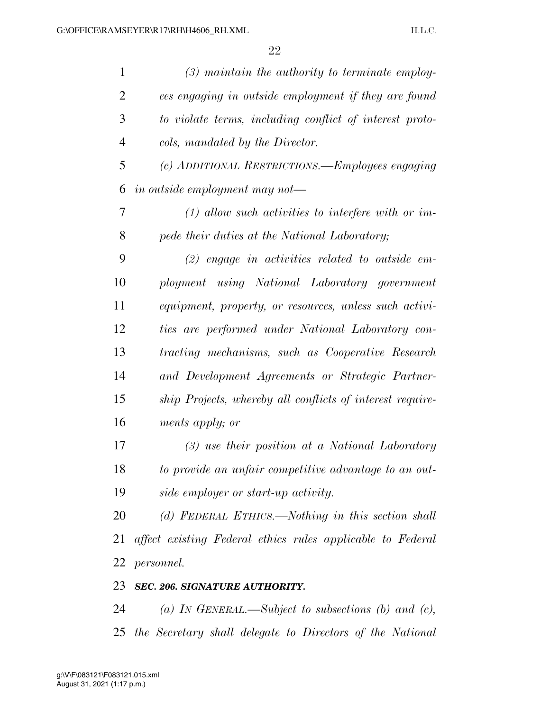| $\mathbf{1}$   | $(3)$ maintain the authority to terminate employ-          |
|----------------|------------------------------------------------------------|
| $\overline{2}$ | ees engaging in outside employment if they are found       |
| 3              | to violate terms, including conflict of interest proto-    |
| $\overline{4}$ | cols, mandated by the Director.                            |
| 5              | (c) ADDITIONAL RESTRICTIONS.—Employees engaging            |
| 6              | in outside employment may not—                             |
| 7              | $(1)$ allow such activities to interfere with or im-       |
| 8              | pede their duties at the National Laboratory;              |
| 9              | $(2)$ engage in activities related to outside em-          |
| 10             | ployment using National Laboratory government              |
| 11             | equipment, property, or resources, unless such activi-     |
| 12             | ties are performed under National Laboratory con-          |
| 13             | tracting mechanisms, such as Cooperative Research          |
| 14             | and Development Agreements or Strategic Partner-           |
| 15             | ship Projects, whereby all conflicts of interest require-  |
| 16             | ments apply; or                                            |
| 17             | $(3)$ use their position at a National Laboratory          |
| 18             | to provide an unfair competitive advantage to an out-      |
| 19             | side employer or start-up activity.                        |
| 20             | (d) FEDERAL ETHICS.—Nothing in this section shall          |
| 21             | affect existing Federal ethics rules applicable to Federal |
| 22             | <i>personnel.</i>                                          |
| 23             | SEC. 206. SIGNATURE AUTHORITY.                             |
|                |                                                            |

 *(a) IN GENERAL.—Subject to subsections (b) and (c), the Secretary shall delegate to Directors of the National*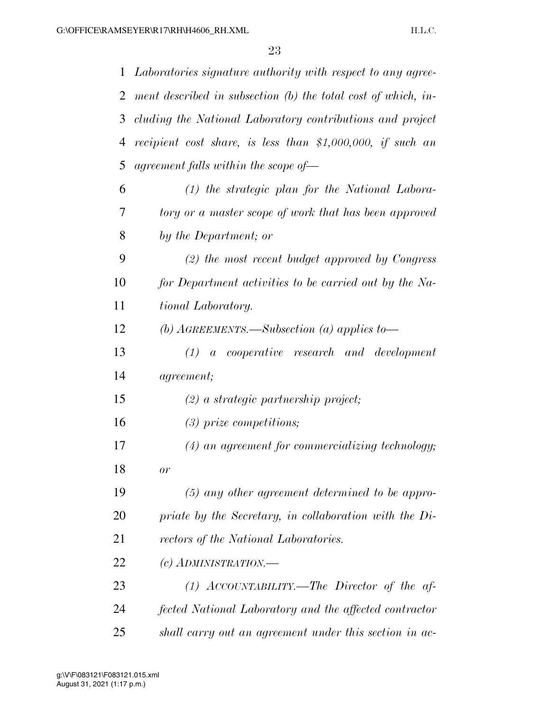| $\mathbf{1}$ | Laboratories signature authority with respect to any agree-   |
|--------------|---------------------------------------------------------------|
| 2            | ment described in subsection (b) the total cost of which, in- |
| 3            | cluding the National Laboratory contributions and project     |
| 4            | recipient cost share, is less than $$1,000,000$ , if such an  |
| 5            | agreement falls within the scope of $-$                       |
| 6            | $(1)$ the strategic plan for the National Labora-             |
| 7            | tory or a master scope of work that has been approved         |
| 8            | by the Department; or                                         |
| 9            | $(2)$ the most recent budget approved by Congress             |
| 10           | for Department activities to be carried out by the Na-        |
| 11           | tional Laboratory.                                            |
| 12           | (b) $A$ GREEMENTS.—Subsection (a) applies to—                 |
| 13           | $(1)$ a cooperative research and development                  |
| 14           | <i>agreement</i> ;                                            |
| 15           | $(2)$ a strategic partnership project;                        |
| 16           | $(3)$ prize competitions;                                     |
| 17           | $(4)$ an agreement for commercializing technology;            |
| 18           | or                                                            |
| 19           | $(5)$ any other agreement determined to be appro-             |
| 20           | priate by the Secretary, in collaboration with the Di-        |
| 21           | rectors of the National Laboratories.                         |
| 22           | (c) ADMINISTRATION.—                                          |
| 23           | $(1)$ ACCOUNTABILITY.—The Director of the af-                 |
| 24           | fected National Laboratory and the affected contractor        |
| 25           | shall carry out an agreement under this section in ac-        |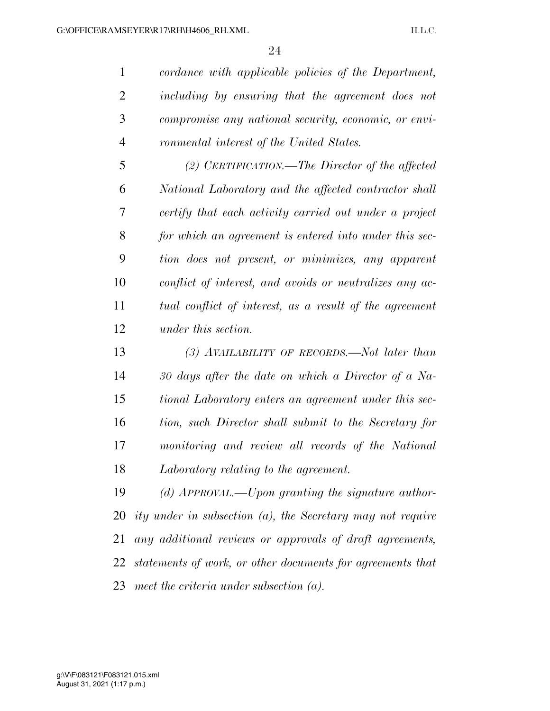*cordance with applicable policies of the Department, including by ensuring that the agreement does not compromise any national security, economic, or envi-ronmental interest of the United States.* 

 *(2) CERTIFICATION.—The Director of the affected National Laboratory and the affected contractor shall certify that each activity carried out under a project for which an agreement is entered into under this sec- tion does not present, or minimizes, any apparent conflict of interest, and avoids or neutralizes any ac- tual conflict of interest, as a result of the agreement under this section.* 

 *(3) AVAILABILITY OF RECORDS.—Not later than 30 days after the date on which a Director of a Na- tional Laboratory enters an agreement under this sec- tion, such Director shall submit to the Secretary for monitoring and review all records of the National Laboratory relating to the agreement.* 

 *(d) APPROVAL.—Upon granting the signature author- ity under in subsection (a), the Secretary may not require any additional reviews or approvals of draft agreements, statements of work, or other documents for agreements that meet the criteria under subsection (a).*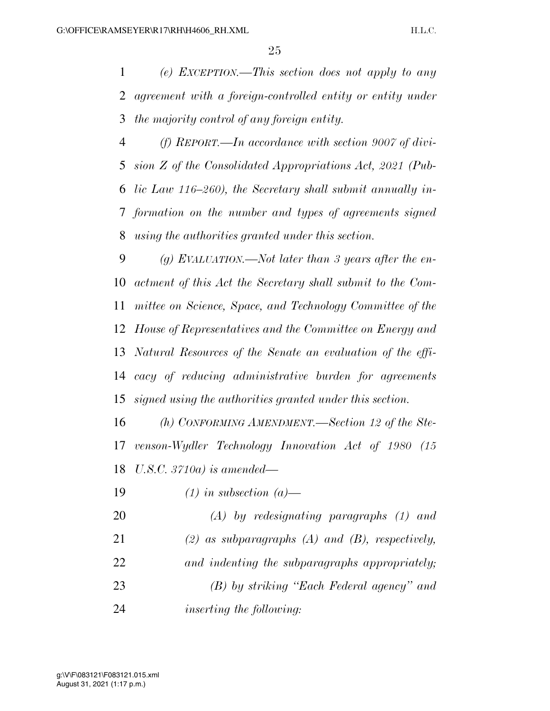*(e) EXCEPTION.—This section does not apply to any agreement with a foreign-controlled entity or entity under the majority control of any foreign entity.* 

 *(f) REPORT.—In accordance with section 9007 of divi- sion Z of the Consolidated Appropriations Act, 2021 (Pub- lic Law 116–260), the Secretary shall submit annually in- formation on the number and types of agreements signed using the authorities granted under this section.* 

 *(g) EVALUATION.—Not later than 3 years after the en- actment of this Act the Secretary shall submit to the Com- mittee on Science, Space, and Technology Committee of the House of Representatives and the Committee on Energy and Natural Resources of the Senate an evaluation of the effi- cacy of reducing administrative burden for agreements signed using the authorities granted under this section.* 

 *(h) CONFORMING AMENDMENT.—Section 12 of the Ste- venson-Wydler Technology Innovation Act of 1980 (15 U.S.C. 3710a) is amended—* 

*(1) in subsection (a)—* 

 *(A) by redesignating paragraphs (1) and (2) as subparagraphs (A) and (B), respectively, and indenting the subparagraphs appropriately; (B) by striking ''Each Federal agency'' and inserting the following:*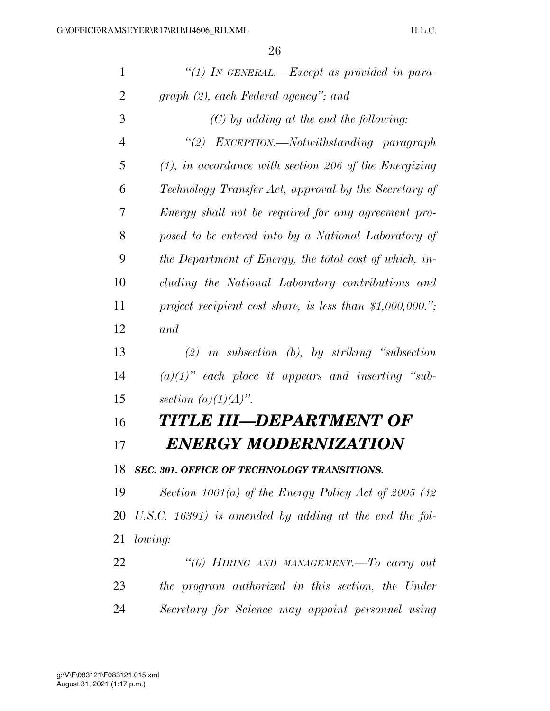| $\mathbf{1}$   | "(1) IN GENERAL.—Except as provided in para-              |
|----------------|-----------------------------------------------------------|
| $\overline{2}$ | graph (2), each Federal agency"; and                      |
| 3              | $(C)$ by adding at the end the following:                 |
| $\overline{4}$ | "(2) EXCEPTION.—Notwithstanding paragraph                 |
| 5              | $(1)$ , in accordance with section 206 of the Energizing  |
| 6              | Technology Transfer Act, approval by the Secretary of     |
| 7              | Energy shall not be required for any agreement pro-       |
| 8              | posed to be entered into by a National Laboratory of      |
| 9              | the Department of Energy, the total cost of which, in-    |
| 10             | cluding the National Laboratory contributions and         |
| 11             | project recipient cost share, is less than \$1,000,000."; |
| 12             | and                                                       |
| 13             | $(2)$ in subsection $(b)$ , by striking "subsection"      |
| 14             | $(a)(1)$ " each place it appears and inserting "sub-      |
| 15             | section $(a)(1)(A)$ .                                     |
| 16             | TITLE III—DEPARTMENT OF                                   |
| 17             | ENERGY MODERNIZATION                                      |
| 18             | SEC. 301. OFFICE OF TECHNOLOGY TRANSITIONS.               |
| 19             | Section 1001(a) of the Energy Policy Act of 2005 (42      |
| 20             | U.S.C. $16391$ ) is amended by adding at the end the fol- |
| 21             | lowing:                                                   |
| 22             | "(6) HIRING AND MANAGEMENT. To carry out                  |
| 23             | the program authorized in this section, the Under         |
| 24             | Secretary for Science may appoint personnel using         |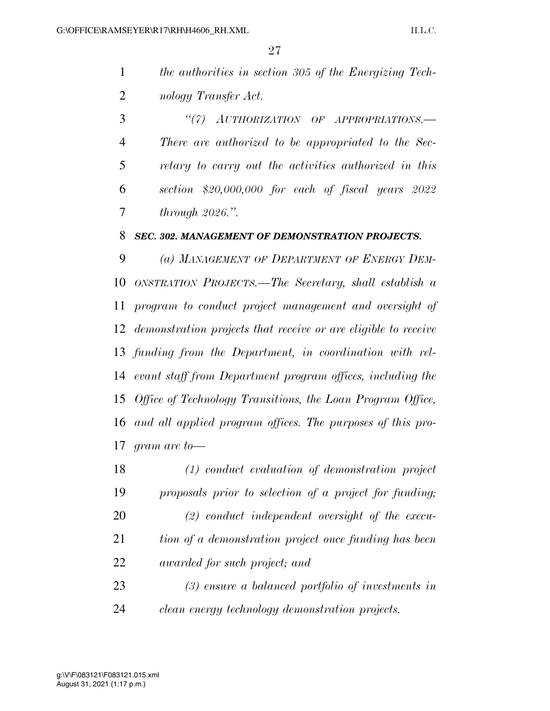| the authorities in section 305 of the Energizing Tech- |
|--------------------------------------------------------|
| nology Transfer Act.                                   |

 *''(7) AUTHORIZATION OF APPROPRIATIONS.— There are authorized to be appropriated to the Sec- retary to carry out the activities authorized in this section \$20,000,000 for each of fiscal years 2022 through 2026.''.* 

#### *SEC. 302. MANAGEMENT OF DEMONSTRATION PROJECTS.*

 *(a) MANAGEMENT OF DEPARTMENT OF ENERGY DEM- ONSTRATION PROJECTS.—The Secretary, shall establish a program to conduct project management and oversight of demonstration projects that receive or are eligible to receive funding from the Department, in coordination with rel- evant staff from Department program offices, including the Office of Technology Transitions, the Loan Program Office, and all applied program offices. The purposes of this pro-gram are to—* 

 *(1) conduct evaluation of demonstration project proposals prior to selection of a project for funding; (2) conduct independent oversight of the execu- tion of a demonstration project once funding has been awarded for such project; and (3) ensure a balanced portfolio of investments in* 

*clean energy technology demonstration projects.*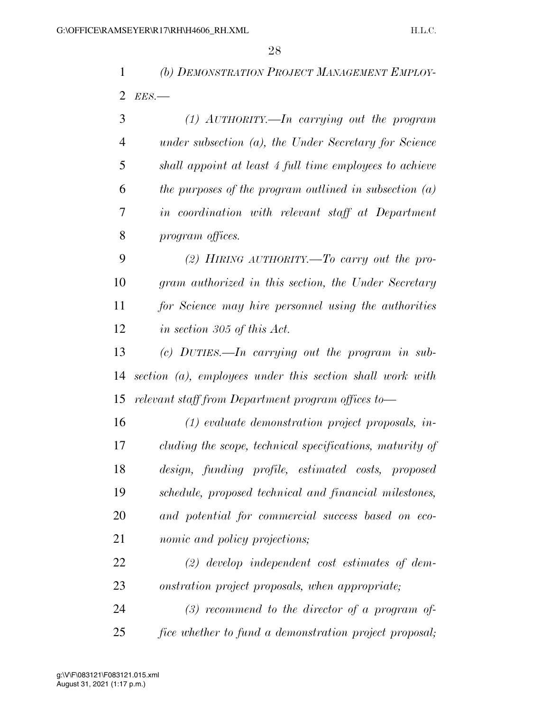*(b) DEMONSTRATION PROJECT MANAGEMENT EMPLOY-EES.—* 

| 3  | $(1)$ AUTHORITY.—In carrying out the program             |
|----|----------------------------------------------------------|
| 4  | under subsection $(a)$ , the Under Secretary for Science |
| 5  | shall appoint at least 4 full time employees to achieve  |
| 6  | the purposes of the program outlined in subsection $(a)$ |
| 7  | in coordination with relevant staff at Department        |
| 8  | program offices.                                         |
| 9  | (2) HIRING AUTHORITY.—To carry out the pro-              |
| 10 | gram authorized in this section, the Under Secretary     |

 *for Science may hire personnel using the authorities in section 305 of this Act.* 

 *(c) DUTIES.—In carrying out the program in sub- section (a), employees under this section shall work with relevant staff from Department program offices to—* 

 *(1) evaluate demonstration project proposals, in- cluding the scope, technical specifications, maturity of design, funding profile, estimated costs, proposed schedule, proposed technical and financial milestones, and potential for commercial success based on eco-nomic and policy projections;* 

 *(2) develop independent cost estimates of dem-onstration project proposals, when appropriate;* 

 *(3) recommend to the director of a program of-fice whether to fund a demonstration project proposal;*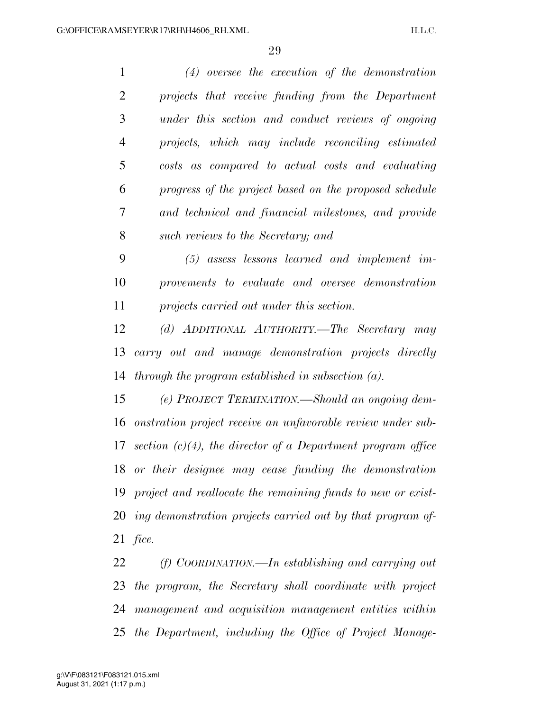| $\mathbf{1}$   | $(4)$ oversee the execution of the demonstration               |
|----------------|----------------------------------------------------------------|
| $\overline{2}$ | projects that receive funding from the Department              |
| 3              | under this section and conduct reviews of ongoing              |
| $\overline{4}$ | projects, which may include reconciling estimated              |
| 5              | costs as compared to actual costs and evaluating               |
| 6              | progress of the project based on the proposed schedule         |
| 7              | and technical and financial milestones, and provide            |
| 8              | such reviews to the Secretary; and                             |
| 9              | $(5)$ assess lessons learned and implement im-                 |
| 10             | provements to evaluate and oversee demonstration               |
| 11             | projects carried out under this section.                       |
| 12             | (d) ADDITIONAL AUTHORITY.—The Secretary may                    |
| 13             | carry out and manage demonstration projects directly           |
| 14             | through the program established in subsection $(a)$ .          |
| 15             | (e) PROJECT TERMINATION.—Should an ongoing dem-                |
| 16             | onstration project receive an unfavorable review under sub-    |
| 17             | section $(c)(4)$ , the director of a Department program office |
|                | 18 or their designee may cease funding the demonstration       |
| 19             | project and reallocate the remaining funds to new or exist-    |
| 20             | ing demonstration projects carried out by that program of      |
| 21             | fice.                                                          |
| 22             | $(f)$ COORDINATION.—In establishing and carrying out           |
|                |                                                                |

 *the program, the Secretary shall coordinate with project management and acquisition management entities within the Department, including the Office of Project Manage-*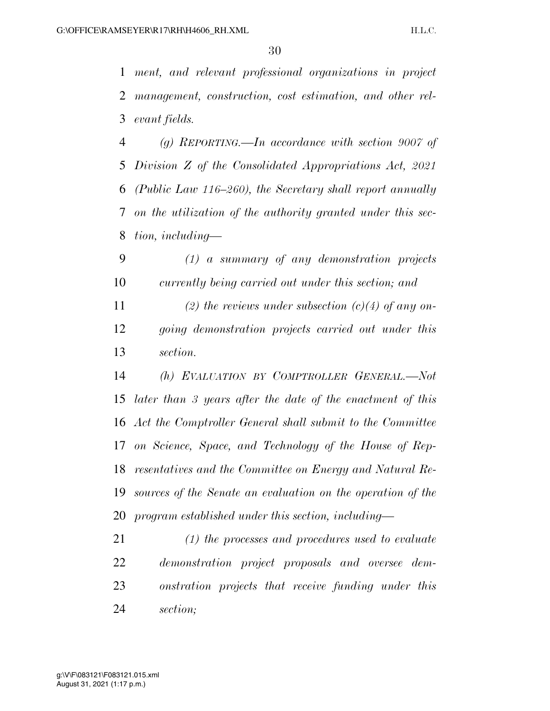*ment, and relevant professional organizations in project management, construction, cost estimation, and other rel-evant fields.* 

 *(g) REPORTING.—In accordance with section 9007 of Division Z of the Consolidated Appropriations Act, 2021 (Public Law 116–260), the Secretary shall report annually on the utilization of the authority granted under this sec-tion, including—* 

 *(1) a summary of any demonstration projects currently being carried out under this section; and* 

 *(2) the reviews under subsection (c)(4) of any on- going demonstration projects carried out under this section.* 

 *(h) EVALUATION BY COMPTROLLER GENERAL.—Not later than 3 years after the date of the enactment of this Act the Comptroller General shall submit to the Committee on Science, Space, and Technology of the House of Rep- resentatives and the Committee on Energy and Natural Re- sources of the Senate an evaluation on the operation of the program established under this section, including—* 

 *(1) the processes and procedures used to evaluate demonstration project proposals and oversee dem- onstration projects that receive funding under this section;*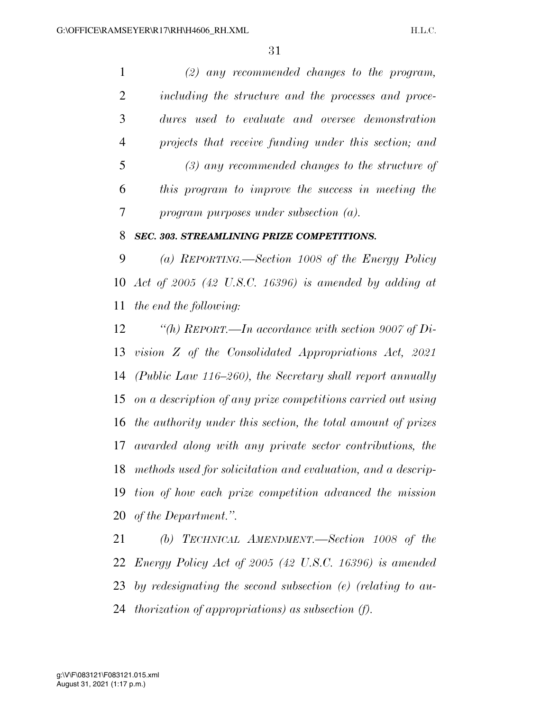*(2) any recommended changes to the program, including the structure and the processes and proce- dures used to evaluate and oversee demonstration projects that receive funding under this section; and (3) any recommended changes to the structure of this program to improve the success in meeting the program purposes under subsection (a).* 

### *SEC. 303. STREAMLINING PRIZE COMPETITIONS.*

 *(a) REPORTING.—Section 1008 of the Energy Policy Act of 2005 (42 U.S.C. 16396) is amended by adding at the end the following:* 

 *''(h) REPORT.—In accordance with section 9007 of Di- vision Z of the Consolidated Appropriations Act, 2021 (Public Law 116–260), the Secretary shall report annually on a description of any prize competitions carried out using the authority under this section, the total amount of prizes awarded along with any private sector contributions, the methods used for solicitation and evaluation, and a descrip- tion of how each prize competition advanced the mission of the Department.''.* 

 *(b) TECHNICAL AMENDMENT.—Section 1008 of the Energy Policy Act of 2005 (42 U.S.C. 16396) is amended by redesignating the second subsection (e) (relating to au-thorization of appropriations) as subsection (f).*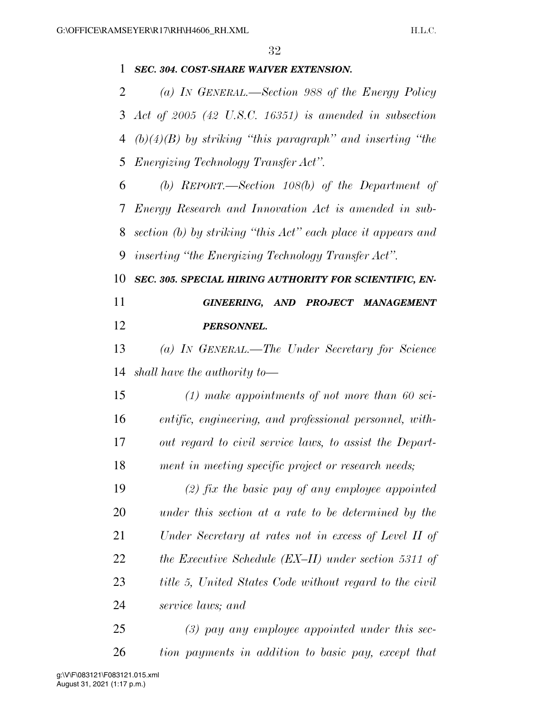| 1      | SEC. 304. COST-SHARE WAIVER EXTENSION.                       |
|--------|--------------------------------------------------------------|
| 2      | (a) IN GENERAL.—Section 988 of the Energy Policy             |
|        | 3 Act of $2005$ (42 U.S.C. 16351) is amended in subsection   |
| 4      | $(b)(4)(B)$ by striking "this paragraph" and inserting "the  |
| 5      | <i>Energizing Technology Transfer Act".</i>                  |
| 6      | (b) REPORT.—Section $108(b)$ of the Department of            |
| $\tau$ | Energy Research and Innovation Act is amended in sub-        |
| 8      | section (b) by striking "this Act" each place it appears and |
| 9      | <i>inserting "the Energizing Technology Transfer Act".</i>   |
| 10     | SEC. 305. SPECIAL HIRING AUTHORITY FOR SCIENTIFIC, EN-       |
| 11     | GINEERING, AND PROJECT MANAGEMENT                            |
| 12     | PERSONNEL.                                                   |
| 13     | (a) In GENERAL.—The Under Secretary for Science              |
| 14     | shall have the authority to $-$                              |
| 15     | $(1)$ make appointments of not more than 60 sci-             |
| 16     | entific, engineering, and professional personnel, with-      |
| 17     | out regard to civil service laws, to assist the Depart-      |
| 18     | ment in meeting specific project or research needs;          |
| 19     | $(2)$ fix the basic pay of any employee appointed            |
| 20     | under this section at a rate to be determined by the         |
| 21     | Under Secretary at rates not in excess of Level II of        |
| 22     | the Executive Schedule $(EX–II)$ under section 5311 of       |
| 23     | title 5, United States Code without regard to the civil      |
| 24     | service laws; and                                            |
| 25     | $(3)$ pay any employee appointed under this sec-             |
| 26     | tion payments in addition to basic pay, except that          |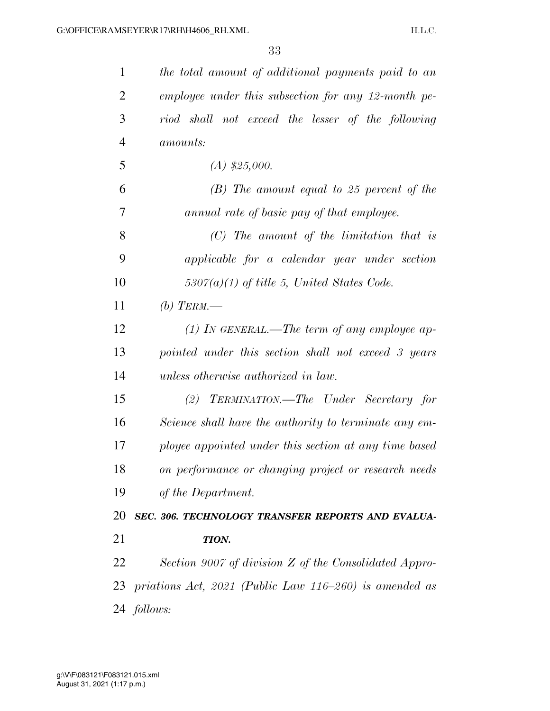| 1              | the total amount of additional payments paid to an     |
|----------------|--------------------------------------------------------|
| $\overline{2}$ | employee under this subsection for any 12-month pe-    |
| 3              | riod shall not exceed the lesser of the following      |
| $\overline{4}$ | <i>amounts:</i>                                        |
| 5              | $(A)$ \$25,000.                                        |
| 6              | $(B)$ The amount equal to 25 percent of the            |
| 7              | annual rate of basic pay of that employee.             |
| 8              | $(C)$ The amount of the limitation that is             |
| 9              | applicable for a calendar year under section           |
| 10             | $5307(a)(1)$ of title 5, United States Code.           |
| 11             | (b) TERM.—                                             |
| 12             | $(1)$ IN GENERAL.—The term of any employee ap-         |
| 13             | pointed under this section shall not exceed 3 years    |
| 14             | unless otherwise authorized in law.                    |
| 15             | (2) TERMINATION.—The Under Secretary for               |
| 16             | Science shall have the authority to terminate any em-  |
| 17             | ployee appointed under this section at any time based  |
| 18             | on performance or changing project or research needs   |
| 19             | of the Department.                                     |
| 20             | SEC. 306. TECHNOLOGY TRANSFER REPORTS AND EVALUA-      |
| 21             | TION.                                                  |
| 22             | Section 9007 of division Z of the Consolidated Appro-  |
| 23             | priations Act, 2021 (Public Law 116-260) is amended as |
|                | 24 follows:                                            |